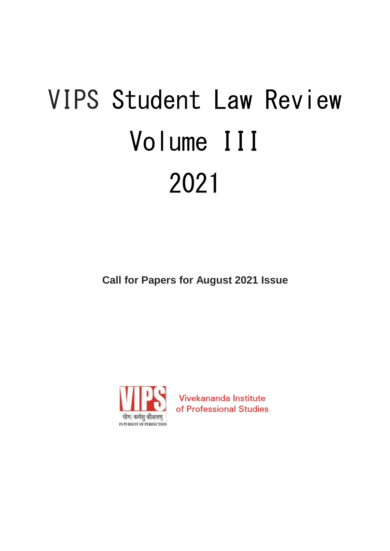# VIPS Student Law Review Volume III 2021

**Call for Papers for August 2021 Issue**



Vivekananda Institute of Professional Studies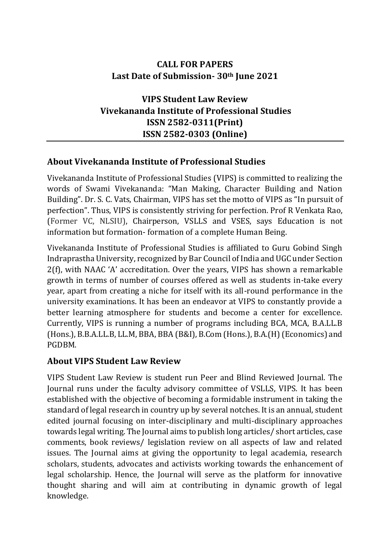# **CALL FOR PAPERS Last Date of Submission- 30th June 2021**

**VIPS Student Law Review Vivekananda Institute of Professional Studies ISSN 2582-0311(Print) ISSN 2582-0303 (Online)**

# **About Vivekananda Institute of Professional Studies**

Vivekananda Institute of Professional Studies (VIPS) is committed to realizing the words of Swami Vivekananda: "Man Making, Character Building and Nation Building". Dr. S. C. Vats, Chairman, VIPS has set the motto of VIPS as "In pursuit of perfection". Thus, VIPS is consistently striving for perfection. Prof R Venkata Rao, (Former VC, NLSIU), Chairperson, VSLLS and VSES, says Education is not information but formation- formation of a complete Human Being.

Vivekananda Institute of Professional Studies is affiliated to Guru Gobind Singh Indraprastha University, recognized by Bar Council of India and UGC under Section 2(f), with NAAC 'A' accreditation. Over the years, VIPS has shown a remarkable growth in terms of number of courses offered as well as students in-take every year, apart from creating a niche for itself with its all-round performance in the university examinations. It has been an endeavor at VIPS to constantly provide a better learning atmosphere for students and become a center for excellence. Currently, VIPS is running a number of programs including BCA, MCA, B.A.LL.B (Hons.), B.B.A.LL.B, LL.M, BBA, BBA (B&I), B.Com (Hons.), B.A.(H) (Economics) and PGDBM.

# **About VIPS Student Law Review**

VIPS Student Law Review is student run Peer and Blind Reviewed Journal. The Journal runs under the faculty advisory committee of VSLLS, VIPS. It has been established with the objective of becoming a formidable instrument in taking the standard of legal research in country up by several notches. It is an annual, student edited journal focusing on inter-disciplinary and multi-disciplinary approaches towards legal writing. The Journal aims to publish long articles/ short articles, case comments, book reviews/ legislation review on all aspects of law and related issues. The Journal aims at giving the opportunity to legal academia, research scholars, students, advocates and activists working towards the enhancement of legal scholarship. Hence, the Journal will serve as the platform for innovative thought sharing and will aim at contributing in dynamic growth of legal knowledge.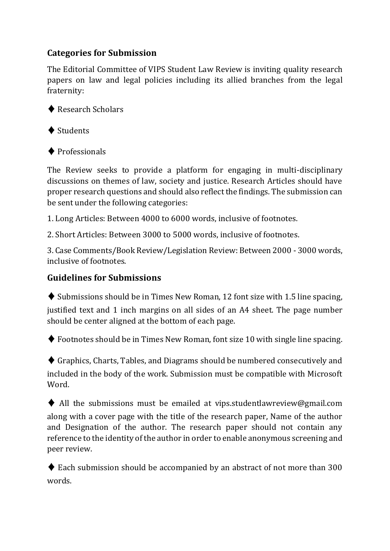# **Categories for Submission**

The Editorial Committee of VIPS Student Law Review is inviting quality research papers on law and legal policies including its allied branches from the legal fraternity:

◆ Research Scholars



♦ Professionals

The Review seeks to provide a platform for engaging in multi-disciplinary discussions on themes of law, society and justice. Research Articles should have proper research questions and should also reflect the findings. The submission can be sent under the following categories:

1. Long Articles: Between 4000 to 6000 words, inclusive of footnotes.

2. Short Articles: Between 3000 to 5000 words, inclusive of footnotes.

3. Case Comments/Book Review/Legislation Review: Between 2000 - 3000 words, inclusive of footnotes.

#### **Guidelines for Submissions**

 $\blacklozenge$  Submissions should be in Times New Roman, 12 font size with 1.5 line spacing, justified text and 1 inch margins on all sides of an A4 sheet. The page number should be center aligned at the bottom of each page.

♦ Footnotes should be in Times New Roman, font size 10 with single line spacing.

♦ Graphics, Charts, Tables, and Diagrams should be numbered consecutively and included in the body of the work. Submission must be compatible with Microsoft Word.

 $\blacklozenge$  All the submissions must be emailed at vips.studentlawreview@gmail.com along with a cover page with the title of the research paper, Name of the author and Designation of the author. The research paper should not contain any reference to the identity of the author in order to enable anonymous screening and peer review.

 $\blacklozenge$  Each submission should be accompanied by an abstract of not more than 300 words.